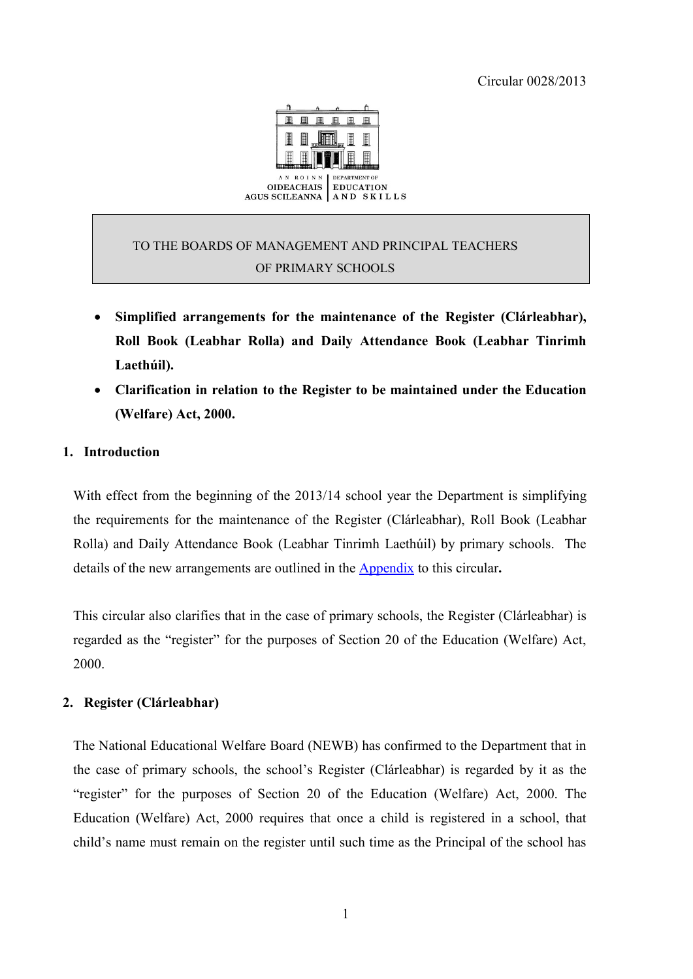Circular 0028/2013



# TO THE BOARDS OF MANAGEMENT AND PRINCIPAL TEACHERS OF PRIMARY SCHOOLS

- **Simplified arrangements for the maintenance of the Register (Clárleabhar), Roll Book (Leabhar Rolla) and Daily Attendance Book (Leabhar Tinrimh Laethúil).**
- **Clarification in relation to the Register to be maintained under the Education (Welfare) Act, 2000.**

## **1. Introduction**

With effect from the beginning of the 2013/14 school year the Department is simplifying the requirements for the maintenance of the Register (Clárleabhar), Roll Book (Leabhar Rolla) and Daily Attendance Book (Leabhar Tinrimh Laethúil) by primary schools. The details of the new arrangements are outlined in the [Appendix](#page-5-0) to this circular**.**

This circular also clarifies that in the case of primary schools, the Register (Clárleabhar) is regarded as the "register" for the purposes of Section 20 of the Education (Welfare) Act, 2000.

#### **2. Register (Clárleabhar)**

The National Educational Welfare Board (NEWB) has confirmed to the Department that in the case of primary schools, the school's Register (Clárleabhar) is regarded by it as the "register" for the purposes of Section 20 of the Education (Welfare) Act, 2000. The Education (Welfare) Act, 2000 requires that once a child is registered in a school, that child's name must remain on the register until such time as the Principal of the school has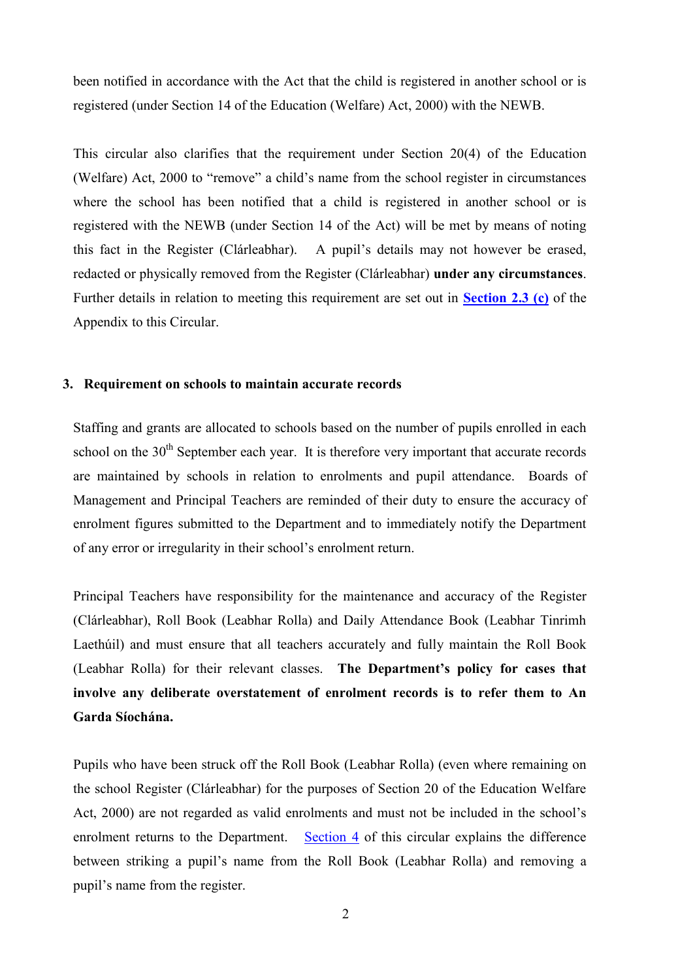been notified in accordance with the Act that the child is registered in another school or is registered (under Section 14 of the Education (Welfare) Act, 2000) with the NEWB.

This circular also clarifies that the requirement under Section 20(4) of the Education (Welfare) Act, 2000 to "remove" a child's name from the school register in circumstances where the school has been notified that a child is registered in another school or is registered with the NEWB (under Section 14 of the Act) will be met by means of noting this fact in the Register (Clárleabhar). A pupil's details may not however be erased, redacted or physically removed from the Register (Clárleabhar) **under any circumstances**. Further details in relation to meeting this requirement are set out in **[Section 2.3 \(c\)](#page-6-0)** of the Appendix to this Circular.

#### <span id="page-1-0"></span>**3. Requirement on schools to maintain accurate records**

Staffing and grants are allocated to schools based on the number of pupils enrolled in each school on the 30<sup>th</sup> September each year. It is therefore very important that accurate records are maintained by schools in relation to enrolments and pupil attendance. Boards of Management and Principal Teachers are reminded of their duty to ensure the accuracy of enrolment figures submitted to the Department and to immediately notify the Department of any error or irregularity in their school's enrolment return.

Principal Teachers have responsibility for the maintenance and accuracy of the Register (Clárleabhar), Roll Book (Leabhar Rolla) and Daily Attendance Book (Leabhar Tinrimh Laethúil) and must ensure that all teachers accurately and fully maintain the Roll Book (Leabhar Rolla) for their relevant classes. **The Department's policy for cases that involve any deliberate overstatement of enrolment records is to refer them to An Garda Síochána.**

Pupils who have been struck off the Roll Book (Leabhar Rolla) (even where remaining on the school Register (Clárleabhar) for the purposes of Section 20 of the Education Welfare Act, 2000) are not regarded as valid enrolments and must not be included in the school's enrolment returns to the Department. [Section 4](#page-2-0) of this circular explains the difference between striking a pupil's name from the Roll Book (Leabhar Rolla) and removing a pupil's name from the register.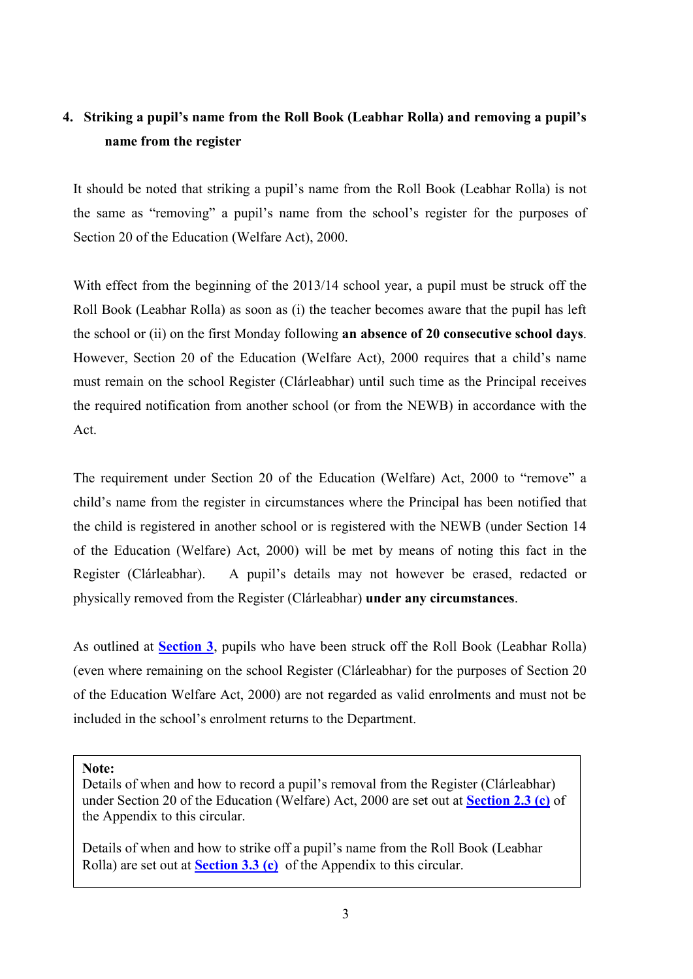# <span id="page-2-0"></span>**4. Striking a pupil's name from the Roll Book (Leabhar Rolla) and removing a pupil's name from the register**

It should be noted that striking a pupil's name from the Roll Book (Leabhar Rolla) is not the same as "removing" a pupil's name from the school's register for the purposes of Section 20 of the Education (Welfare Act), 2000.

With effect from the beginning of the 2013/14 school year, a pupil must be struck off the Roll Book (Leabhar Rolla) as soon as (i) the teacher becomes aware that the pupil has left the school or (ii) on the first Monday following **an absence of 20 consecutive school days**. However, Section 20 of the Education (Welfare Act), 2000 requires that a child's name must remain on the school Register (Clárleabhar) until such time as the Principal receives the required notification from another school (or from the NEWB) in accordance with the Act.

The requirement under Section 20 of the Education (Welfare) Act, 2000 to "remove" a child's name from the register in circumstances where the Principal has been notified that the child is registered in another school or is registered with the NEWB (under Section 14 of the Education (Welfare) Act, 2000) will be met by means of noting this fact in the Register (Clárleabhar). A pupil's details may not however be erased, redacted or physically removed from the Register (Clárleabhar) **under any circumstances**.

As outlined at **[Section 3](#page-1-0)**, pupils who have been struck off the Roll Book (Leabhar Rolla) (even where remaining on the school Register (Clárleabhar) for the purposes of Section 20 of the Education Welfare Act, 2000) are not regarded as valid enrolments and must not be included in the school's enrolment returns to the Department.

**Note:**

Details of when and how to record a pupil's removal from the Register (Clárleabhar) under Section 20 of the Education (Welfare) Act, 2000 are set out at **[Section 2.3 \(c\)](#page-6-0)** of the Appendix to this circular.

Details of when and how to strike off a pupil's name from the Roll Book (Leabhar Rolla) are set out at **[Section 3.3 \(c\)](#page-8-0)** of the Appendix to this circular.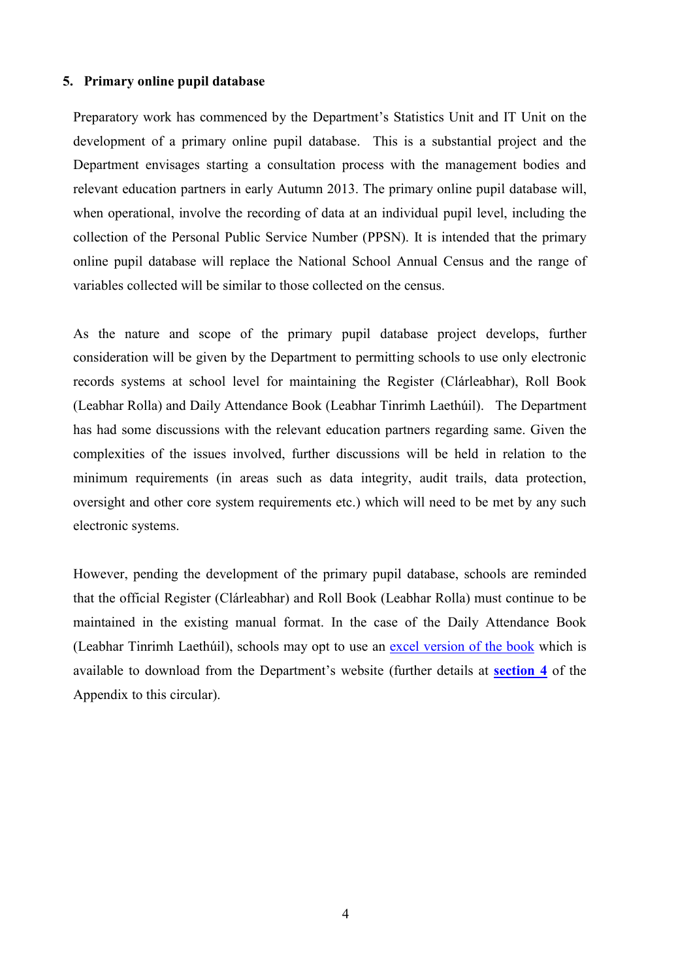#### **5. Primary online pupil database**

Preparatory work has commenced by the Department's Statistics Unit and IT Unit on the development of a primary online pupil database. This is a substantial project and the Department envisages starting a consultation process with the management bodies and relevant education partners in early Autumn 2013. The primary online pupil database will, when operational, involve the recording of data at an individual pupil level, including the collection of the Personal Public Service Number (PPSN). It is intended that the primary online pupil database will replace the National School Annual Census and the range of variables collected will be similar to those collected on the census.

As the nature and scope of the primary pupil database project develops, further consideration will be given by the Department to permitting schools to use only electronic records systems at school level for maintaining the Register (Clárleabhar), Roll Book (Leabhar Rolla) and Daily Attendance Book (Leabhar Tinrimh Laethúil). The Department has had some discussions with the relevant education partners regarding same. Given the complexities of the issues involved, further discussions will be held in relation to the minimum requirements (in areas such as data integrity, audit trails, data protection, oversight and other core system requirements etc.) which will need to be met by any such electronic systems.

However, pending the development of the primary pupil database, schools are reminded that the official Register (Clárleabhar) and Roll Book (Leabhar Rolla) must continue to be maintained in the existing manual format. In the case of the Daily Attendance Book (Leabhar Tinrimh Laethúil), schools may opt to use an [excel version of the book](http://www.education.ie/en/Schools-Colleges/Services/Roll-Books/Leabhar_Tinrimh_laethúil.xls) which is available to download from the Department's website (further details at **[section 4](#page-9-0)** of the Appendix to this circular).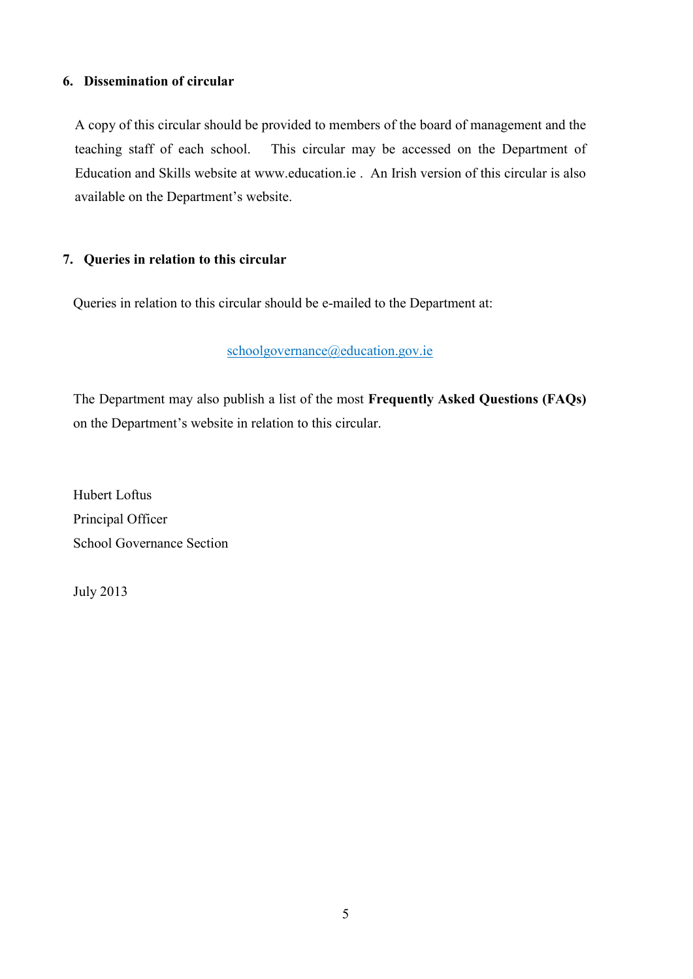## **6. Dissemination of circular**

A copy of this circular should be provided to members of the board of management and the teaching staff of each school. This circular may be accessed on the Department of Education and Skills website at [www.education.ie](http://www.education.ie/) . An Irish version of this circular is also available on the Department's website.

## **7. Queries in relation to this circular**

Queries in relation to this circular should be e-mailed to the Department at:

## [schoolgovernance@education.gov.ie](mailto:schoolgovernance@education.gov.ie)

The Department may also publish a list of the most **Frequently Asked Questions (FAQs)** on the Department's website in relation to this circular.

Hubert Loftus Principal Officer School Governance Section

July 2013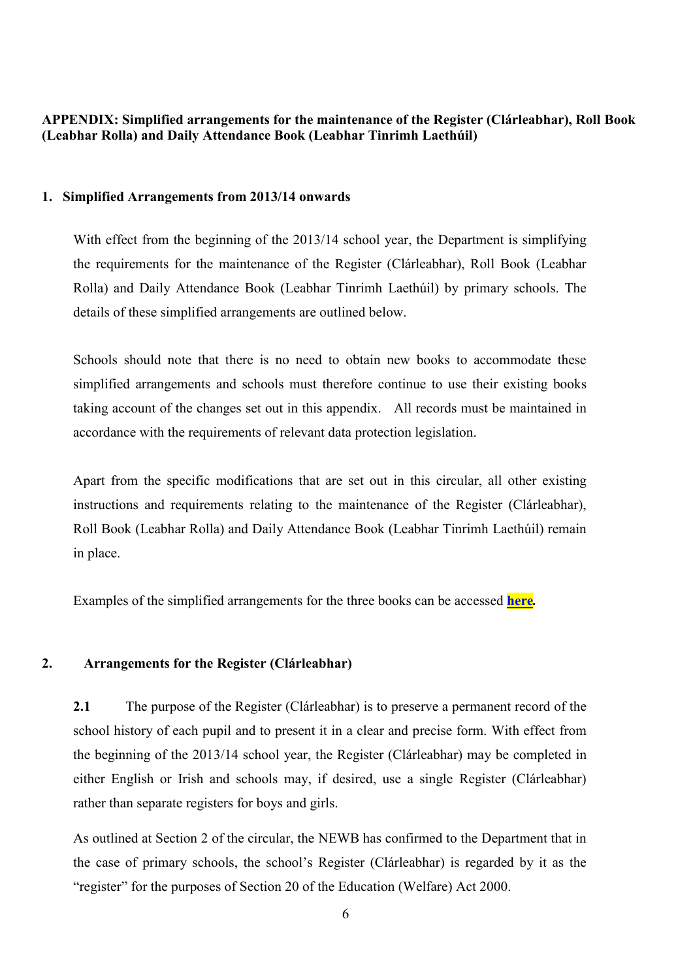<span id="page-5-0"></span>**APPENDIX: Simplified arrangements for the maintenance of the Register (Clárleabhar), Roll Book (Leabhar Rolla) and Daily Attendance Book (Leabhar Tinrimh Laethúil)**

#### **1. Simplified Arrangements from 2013/14 onwards**

With effect from the beginning of the 2013/14 school year, the Department is simplifying the requirements for the maintenance of the Register (Clárleabhar), Roll Book (Leabhar Rolla) and Daily Attendance Book (Leabhar Tinrimh Laethúil) by primary schools. The details of these simplified arrangements are outlined below.

Schools should note that there is no need to obtain new books to accommodate these simplified arrangements and schools must therefore continue to use their existing books taking account of the changes set out in this appendix. All records must be maintained in accordance with the requirements of relevant data protection legislation.

Apart from the specific modifications that are set out in this circular, all other existing instructions and requirements relating to the maintenance of the Register (Clárleabhar), Roll Book (Leabhar Rolla) and Daily Attendance Book (Leabhar Tinrimh Laethúil) remain in place.

Examples of the simplified arrangements for the three books can be accessed **[here](http://www.education.ie/en/Schools-Colleges/Services/Roll-Books/Circular-0028-2013-Books-in-Use.xls)***.*

#### **2. Arrangements for the Register (Clárleabhar)**

**2.1** The purpose of the Register (Clárleabhar) is to preserve a permanent record of the school history of each pupil and to present it in a clear and precise form. With effect from the beginning of the 2013/14 school year, the Register (Clárleabhar) may be completed in either English or Irish and schools may, if desired, use a single Register (Clárleabhar) rather than separate registers for boys and girls.

As outlined at Section 2 of the circular, the NEWB has confirmed to the Department that in the case of primary schools, the school's Register (Clárleabhar) is regarded by it as the "register" for the purposes of Section 20 of the Education (Welfare) Act 2000.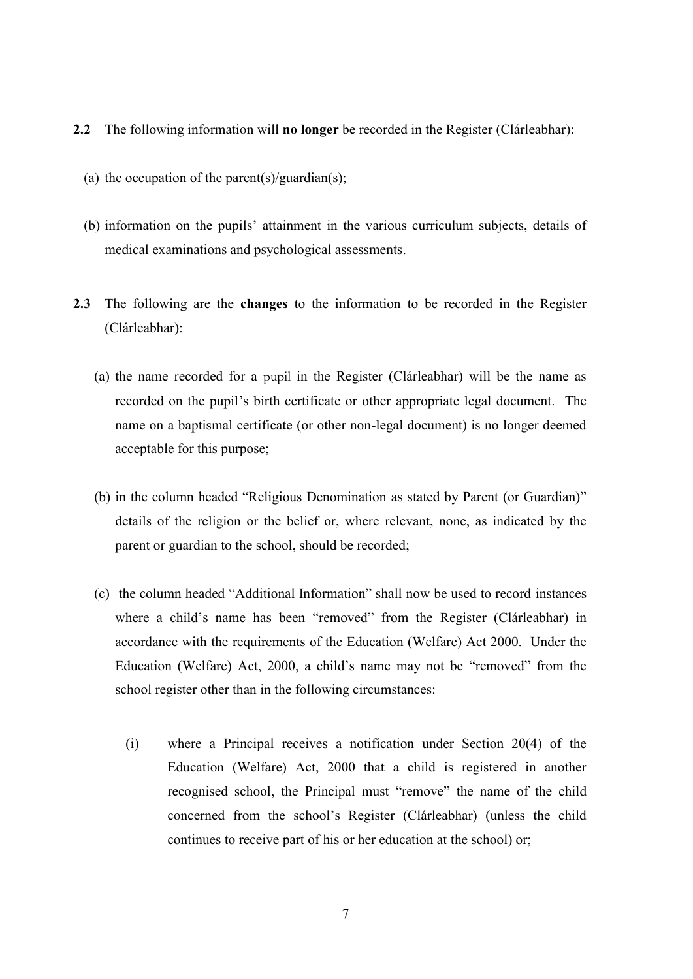- **2.2** The following information will **no longer** be recorded in the Register (Clárleabhar):
	- (a) the occupation of the parent(s)/guardian(s);
	- (b) information on the pupils' attainment in the various curriculum subjects, details of medical examinations and psychological assessments.
- <span id="page-6-0"></span>**2.3** The following are the **changes** to the information to be recorded in the Register (Clárleabhar):
	- (a) the name recorded for a pupil in the Register (Clárleabhar) will be the name as recorded on the pupil's birth certificate or other appropriate legal document. The name on a baptismal certificate (or other non-legal document) is no longer deemed acceptable for this purpose;
	- (b) in the column headed "Religious Denomination as stated by Parent (or Guardian)" details of the religion or the belief or, where relevant, none, as indicated by the parent or guardian to the school, should be recorded;
	- (c) the column headed "Additional Information" shall now be used to record instances where a child's name has been "removed" from the Register (Clárleabhar) in accordance with the requirements of the Education (Welfare) Act 2000. Under the Education (Welfare) Act, 2000, a child's name may not be "removed" from the school register other than in the following circumstances:
		- (i) where a Principal receives a notification under Section 20(4) of the Education (Welfare) Act, 2000 that a child is registered in another recognised school, the Principal must "remove" the name of the child concerned from the school's Register (Clárleabhar) (unless the child continues to receive part of his or her education at the school) or;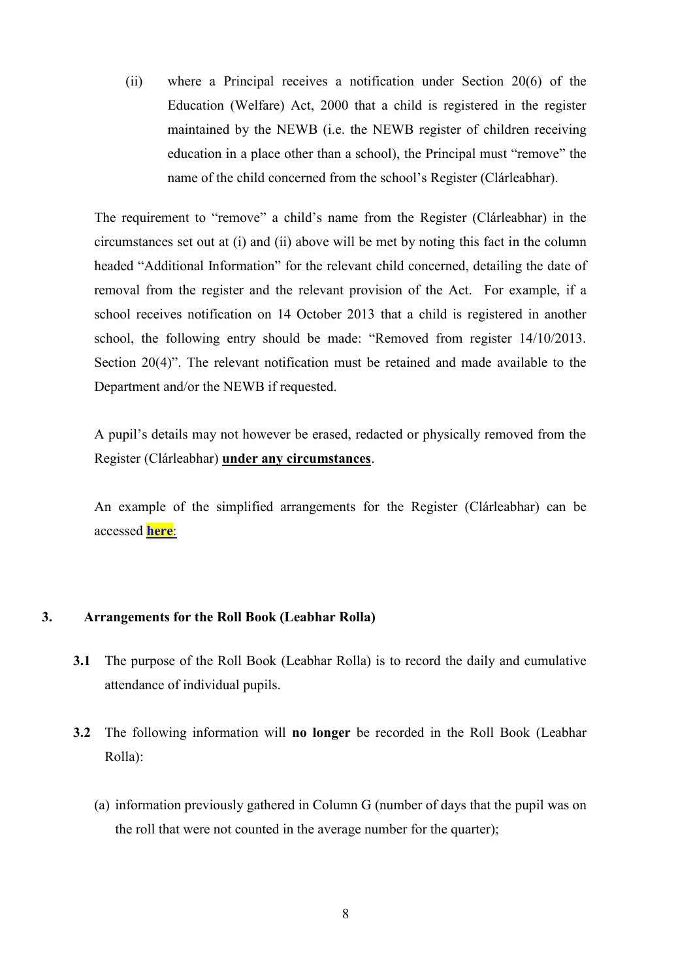(ii) where a Principal receives a notification under Section 20(6) of the Education (Welfare) Act, 2000 that a child is registered in the register maintained by the NEWB (i.e. the NEWB register of children receiving education in a place other than a school), the Principal must "remove" the name of the child concerned from the school's Register (Clárleabhar).

The requirement to "remove" a child's name from the Register (Clárleabhar) in the circumstances set out at (i) and (ii) above will be met by noting this fact in the column headed "Additional Information" for the relevant child concerned, detailing the date of removal from the register and the relevant provision of the Act. For example, if a school receives notification on 14 October 2013 that a child is registered in another school, the following entry should be made: "Removed from register 14/10/2013. Section 20(4)". The relevant notification must be retained and made available to the Department and/or the NEWB if requested.

A pupil's details may not however be erased, redacted or physically removed from the Register (Clárleabhar) **under any circumstances**.

An example of the simplified arrangements for the Register (Clárleabhar) can be accessed **[here](http://www.education.ie/en/Schools-Colleges/Services/Roll-Books/Example-of-simplified-arrangements-for-the-Register-Clárleabhar-.xls)**:

#### **3. Arrangements for the Roll Book (Leabhar Rolla)**

- **3.1** The purpose of the Roll Book (Leabhar Rolla) is to record the daily and cumulative attendance of individual pupils.
- **3.2** The following information will **no longer** be recorded in the Roll Book (Leabhar Rolla):
	- (a) information previously gathered in Column G (number of days that the pupil was on the roll that were not counted in the average number for the quarter);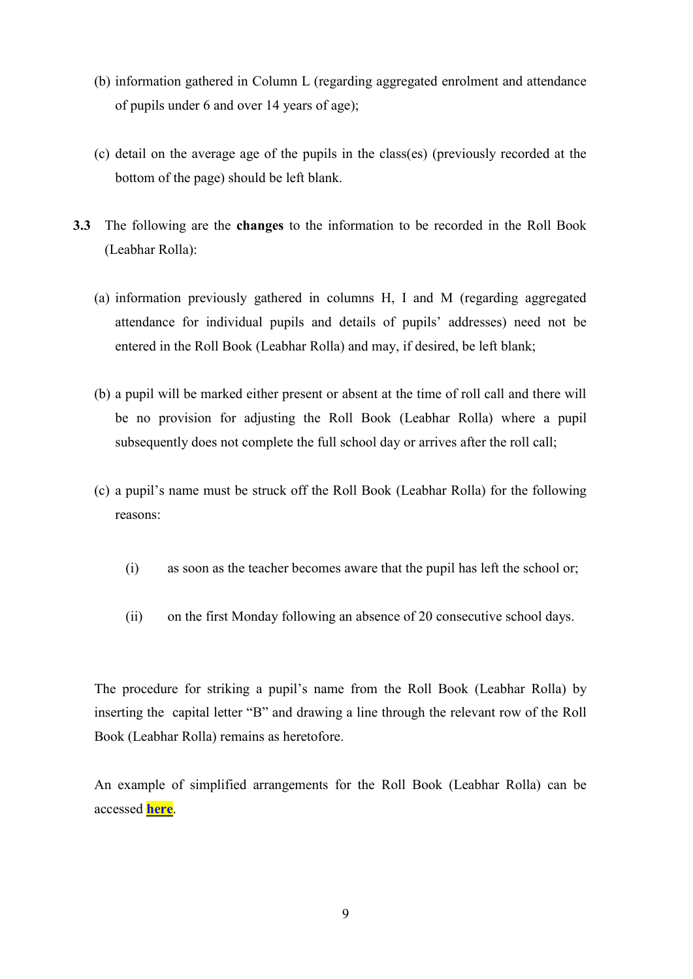- (b) information gathered in Column L (regarding aggregated enrolment and attendance of pupils under 6 and over 14 years of age);
- (c) detail on the average age of the pupils in the class(es) (previously recorded at the bottom of the page) should be left blank.
- **3.3** The following are the **changes** to the information to be recorded in the Roll Book (Leabhar Rolla):
	- (a) information previously gathered in columns H, I and M (regarding aggregated attendance for individual pupils and details of pupils' addresses) need not be entered in the Roll Book (Leabhar Rolla) and may, if desired, be left blank;
	- (b) a pupil will be marked either present or absent at the time of roll call and there will be no provision for adjusting the Roll Book (Leabhar Rolla) where a pupil subsequently does not complete the full school day or arrives after the roll call;
	- (c) a pupil's name must be struck off the Roll Book (Leabhar Rolla) for the following reasons:
		- (i) as soon as the teacher becomes aware that the pupil has left the school or;
		- (ii) on the first Monday following an absence of 20 consecutive school days.

<span id="page-8-0"></span>The procedure for striking a pupil's name from the Roll Book (Leabhar Rolla) by inserting the capital letter "B" and drawing a line through the relevant row of the Roll Book (Leabhar Rolla) remains as heretofore.

An example of simplified arrangements for the Roll Book (Leabhar Rolla) can be accessed **[here](http://www.education.ie/en/Schools-Colleges/Services/Roll-Books/Example-of-simplified-arrangements-for-the-Roll-Book-Leabhar-Rolla-.xls)**.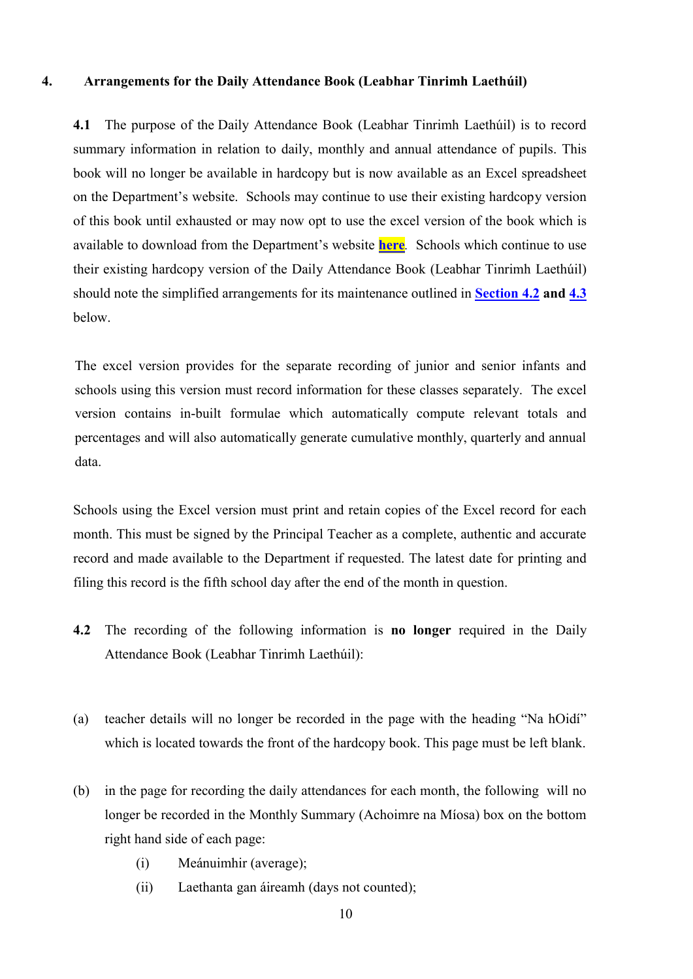#### <span id="page-9-0"></span>**4. Arrangements for the Daily Attendance Book (Leabhar Tinrimh Laethúil)**

**4.1** The purpose of the Daily Attendance Book (Leabhar Tinrimh Laethúil) is to record summary information in relation to daily, monthly and annual attendance of pupils. This book will no longer be available in hardcopy but is now available as an Excel spreadsheet on the Department's website. Schools may continue to use their existing hardcopy version of this book until exhausted or may now opt to use the excel version of the book which is available to download from the Department's website **[here](http://www.education.ie/en/Schools-Colleges/Services/Roll-Books/Leabhar_Tinrimh_laethúil.xls)***.* Schools which continue to use their existing hardcopy version of the Daily Attendance Book (Leabhar Tinrimh Laethúil) should note the simplified arrangements for its maintenance outlined in **[Section 4.2](#page-9-1) and [4.3](#page-10-0)** below.

The excel version provides for the separate recording of junior and senior infants and schools using this version must record information for these classes separately. The excel version contains in-built formulae which automatically compute relevant totals and percentages and will also automatically generate cumulative monthly, quarterly and annual data.

Schools using the Excel version must print and retain copies of the Excel record for each month. This must be signed by the Principal Teacher as a complete, authentic and accurate record and made available to the Department if requested. The latest date for printing and filing this record is the fifth school day after the end of the month in question.

- <span id="page-9-1"></span>**4.2** The recording of the following information is **no longer** required in the Daily Attendance Book (Leabhar Tinrimh Laethúil):
- (a) teacher details will no longer be recorded in the page with the heading "Na hOidí" which is located towards the front of the hardcopy book. This page must be left blank.
- (b) in the page for recording the daily attendances for each month, the following will no longer be recorded in the Monthly Summary (Achoimre na Míosa) box on the bottom right hand side of each page:
	- (i) Meánuimhir (average);
	- (ii) Laethanta gan áireamh (days not counted);